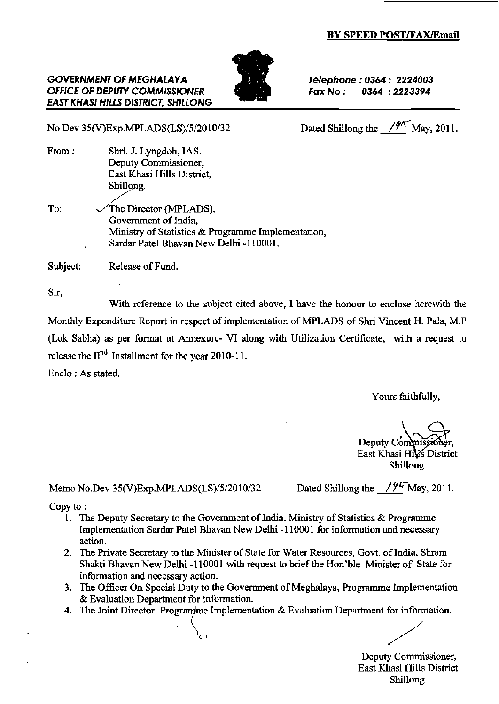#### BY SPEED POST/FAX/Email

# OFFICE OF DEPUTY COMMISSIONER  $\blacksquare$  Fax No :

Telephone : 0364 : 2224003<br>Fax No : 0364 : 2223394

EAST KHASI HILLS DISTRICT. SHILLONG

**GOVERNMENT OF MEGHALAYA** 

No Dev 35(V)Exp.MPLADS(LS)/5/2010/32 Dated Shillong the  $\frac{f^{4k}}{M}$ May, 2011.

From: Shri. J. Lyngdoh, IAS. Deputy Commissioner. East Khasi Hills District, Shillong.

To:  $\sqrt{\text{The Director (MPLADS)}}$ , Government of India. Ministry of Statistics & Programme Implementation, Sardar Patel Bhavan New Delhi -I 10001.

Subject: Release of Fund.

Sir,

With reference to the subject cited above, I have the honour to enclose herewith the Monthly Expenditure Report in respect of implementation of MPLADS of 8hri Vincent H. Pala, M.P (Lok Sabha) as per format at Annexure- VI along with Utilization Certificate, with a request to release the II<sup>nd</sup> Installment for the year 2010-11.

Enclo : As stated.

Yours faithfully,

Deputy Commis East Khasi Hiks District

ShilJong

Memo No.Dev 35(V)Exp.MPI.ADS(LS)/5/2010/32 Dated Shillong the  $\sqrt{94}$  May, 2011.

Copy to :

- 1. The Deputy Secretary to the Government of India, Ministry of Statistics  $\&$  Programme Implementation Sardar Patel Bhavan New Delhi -110001 for infonnation and necessary action.
- 2. The Private Secretary to the Minister of State for Water Resources, Govt. of India, Shram Shakti Bhavan New Delhi -110001 with request to brief the Hon'ble Minister of State for information and necessary action.
- 3. The Officer On Special Duty to the Government of Meghalaya, Programme Implementation & Evaluation Department for information.
- 4. The Joint Director Programme Implementation & Evaluation Department for information.

Deputy Commissioner, East Khasi Hills Disttict Shillong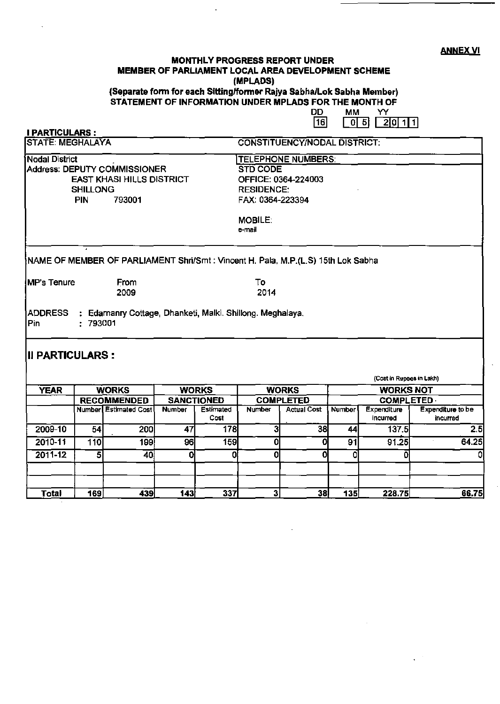**ANNEX VI** 

#### **MONTHLY PROGRESS REPORT UNDER** MEMBER OF PARLIAMENT LOCAL AREA DEVELOPMENT SCHEME (MPLADS) (Separate form for each Sitting/former Rajya Sabha/Lok Sabha Member)

STATEMENT OF INFORMATION UNDER MPLADS FOR THE MONTH OF

**DD MM** YY  $\overline{16}$  $\Box$  $20111$ 

| <b>I PARTICULARS:</b>                                                                                 |                         |                                                                                                    |               |                                  |                              |                                      |               |                          |                               |  |  |
|-------------------------------------------------------------------------------------------------------|-------------------------|----------------------------------------------------------------------------------------------------|---------------|----------------------------------|------------------------------|--------------------------------------|---------------|--------------------------|-------------------------------|--|--|
| <b>STATE: MEGHALAYA</b>                                                                               |                         |                                                                                                    |               |                                  | CONSTITUENCY/NODAL DISTRICT: |                                      |               |                          |                               |  |  |
| Nodal District<br>Address: DEPUTY COMMISSIONER<br><b>EAST KHASI HILLS DISTRICT</b><br><b>SHILLONG</b> |                         |                                                                                                    |               |                                  | <b>TELEPHONE NUMBERS:</b>    |                                      |               |                          |                               |  |  |
|                                                                                                       |                         |                                                                                                    |               |                                  | <b>STD CODE</b>              |                                      |               |                          |                               |  |  |
|                                                                                                       |                         |                                                                                                    |               |                                  |                              | OFFICE: 0364-224003                  |               |                          |                               |  |  |
|                                                                                                       |                         |                                                                                                    |               |                                  | <b>RESIDENCE:</b>            |                                      |               |                          |                               |  |  |
|                                                                                                       | PIN                     | 793001                                                                                             |               |                                  | FAX: 0364-223394             |                                      |               |                          |                               |  |  |
|                                                                                                       |                         |                                                                                                    |               |                                  | <b>MOBILE:</b><br>e-mail     |                                      |               |                          |                               |  |  |
| <b>IMP's Tenure</b>                                                                                   |                         | [NAME OF MEMBER OF PARLIAMENT Shri/Smt : Vincent H. Pala, M.P.(L.S) 15th Lok Sabha<br>From<br>2009 |               |                                  | To<br>2014                   |                                      |               |                          |                               |  |  |
| Pin<br><b>III PARTICULARS :</b>                                                                       | :793001                 |                                                                                                    |               |                                  |                              |                                      |               |                          |                               |  |  |
|                                                                                                       |                         |                                                                                                    |               |                                  |                              |                                      |               | (Cost in Rupees in Lakh) |                               |  |  |
| <b>YEAR</b><br><b>WORKS</b><br><b>RECOMMENDED</b>                                                     |                         | <b>WORKS</b><br><b>SANCTIONED</b>                                                                  |               | <b>WORKS</b><br><b>COMPLETED</b> |                              | <b>WORKS NOT</b><br><b>COMPLETED</b> |               |                          |                               |  |  |
|                                                                                                       |                         | <b>Numberl Estimated Cost</b>                                                                      | <b>Number</b> | <b>Estimated</b><br>Cost         | <b>Number</b>                | <b>Actual Cost</b>                   | <b>Number</b> | Expenditure<br>incurred  | Expenditure to be<br>incurred |  |  |
| 2009-10                                                                                               | 54                      | 200                                                                                                | 47            | 178                              | 3                            | 38                                   | 44            | 137.5                    | 2.5                           |  |  |
| 2010-11                                                                                               | 110                     | 199İ                                                                                               | 96            | 159                              | 0                            | 0                                    | 91            | 91.25                    | 64.25                         |  |  |
| $2011 - 12$                                                                                           | $\overline{\mathbf{5}}$ | 40                                                                                                 | 0             | 0                                | 0                            | 0                                    | O             | 0                        | 0                             |  |  |
| Total                                                                                                 | 169                     | 439                                                                                                | 143           | 337                              | 31                           | 38                                   | 135           | 228.75                   | 66.75                         |  |  |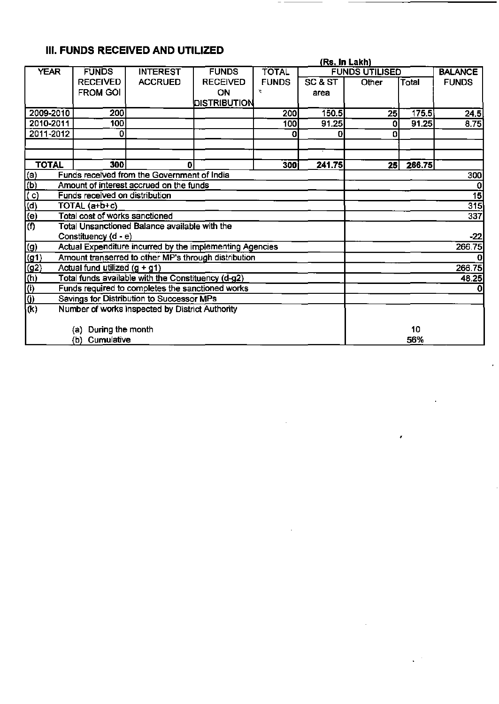# III. FUNDS RECEIVED AND UTILIZED

|                                                               |                                                                       |                                               |                 |              |         | (Rs. In Lakh)         |        |                |  |
|---------------------------------------------------------------|-----------------------------------------------------------------------|-----------------------------------------------|-----------------|--------------|---------|-----------------------|--------|----------------|--|
| <b>YEAR</b>                                                   | <b>FUNDS</b>                                                          | <b>INTEREST</b>                               | <b>FUNDS</b>    | <b>TOTAL</b> |         | <b>FUNDS UTILISED</b> |        | <b>BALANCE</b> |  |
|                                                               | <b>RECEIVED</b>                                                       | <b>ACCRUED</b>                                | <b>RECEIVED</b> | <b>FUNDS</b> | SC & ST | Other                 | Total  | <b>FUNDS</b>   |  |
|                                                               | <b>FROM GOI</b>                                                       |                                               | ON              | Y.           | area    |                       |        |                |  |
|                                                               |                                                                       |                                               | DISTRIBUTION    |              |         |                       |        |                |  |
| 2009-2010                                                     | 200                                                                   |                                               |                 | 200          | 150.5   | 25                    | 175.5  | 24.5           |  |
| 2010-2011                                                     | 100                                                                   |                                               |                 | 100          | 91.25   | $\Omega$              | 91.25  | 8.75           |  |
| 2011-2012                                                     | 0                                                                     |                                               |                 | o            | 0       | 0                     |        |                |  |
|                                                               |                                                                       |                                               |                 |              |         |                       |        |                |  |
|                                                               |                                                                       |                                               |                 |              |         |                       |        |                |  |
| <b>TOTAL</b>                                                  | 300                                                                   | 0                                             |                 | 300)         | 241.75  | 25                    | 266.75 |                |  |
| <u>(a)</u>                                                    |                                                                       | Funds received from the Government of India   |                 |              |         |                       |        | 300            |  |
| $\frac{\overline{P}}{\overline{P}}$                           |                                                                       | Amount of interest accrued on the funds       |                 |              |         |                       |        | $\Omega$       |  |
|                                                               | Funds received on distribution                                        |                                               |                 |              |         |                       |        | 15             |  |
|                                                               | 315<br>TOTAL (a+b+c)                                                  |                                               |                 |              |         |                       |        |                |  |
|                                                               | Total cost of works sanctioned                                        |                                               |                 |              |         |                       |        | 337            |  |
| $\frac{\overline{a}}{\overline{b}}$                           |                                                                       | Total Unsanctioned Balance available with the |                 |              |         |                       |        |                |  |
|                                                               | Constituency (d - e)                                                  |                                               |                 |              |         |                       |        | $-22$          |  |
|                                                               | 266.75<br>Actual Expenditure incurred by the implementing Agencies    |                                               |                 |              |         |                       |        |                |  |
| $\frac{(g)}{(g1)}$<br>$\frac{(g2)}{(h)}$<br>$\frac{(h)}{(l)}$ | Amount transerred to other MP's through distribution<br>0             |                                               |                 |              |         |                       |        |                |  |
|                                                               | Actual fund utilized $(g + g1)$                                       |                                               |                 |              |         |                       |        |                |  |
|                                                               | 266.75<br>Total funds available with the Constituency (d-g2)<br>48.25 |                                               |                 |              |         |                       |        |                |  |
|                                                               | Funds required to completes the sanctioned works<br>0                 |                                               |                 |              |         |                       |        |                |  |
|                                                               | Savings for Distribution to Successor MPs                             |                                               |                 |              |         |                       |        |                |  |
| $\overline{(\mathsf{k})}$                                     | Number of works inspected by District Authority                       |                                               |                 |              |         |                       |        |                |  |
|                                                               |                                                                       |                                               |                 |              |         |                       |        |                |  |
|                                                               | (a) During the month                                                  |                                               |                 |              |         |                       | 10     |                |  |
|                                                               | Cumulative<br>(b)                                                     |                                               |                 | 56%          |         |                       |        |                |  |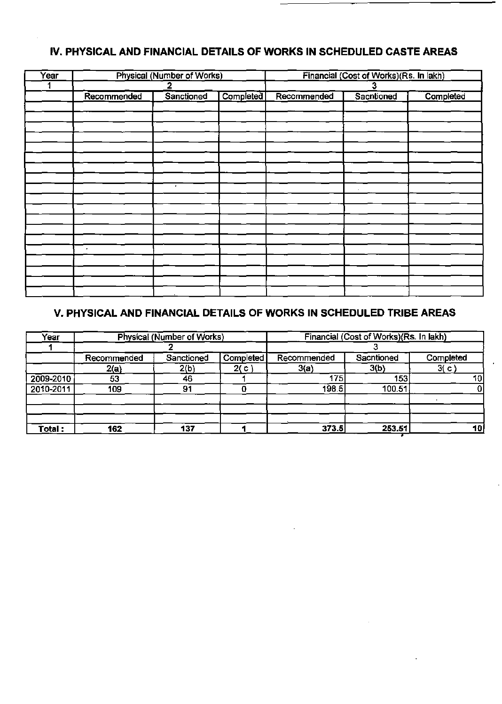## IV. PHYSICAL AND FINANCIAL DETAILS OF WORKS IN SCHEDULED CASTE AREAS

| Year |             | Physical (Number of Works) |           | Financial (Cost of Works)(Rs. In lakh) |            |           |  |
|------|-------------|----------------------------|-----------|----------------------------------------|------------|-----------|--|
|      |             |                            |           | J                                      |            |           |  |
|      | Recommended | Sanctioned                 | Completed | Recommended                            | Sacntioned | Completed |  |
|      |             |                            |           |                                        |            |           |  |
|      |             |                            |           |                                        |            |           |  |
|      |             |                            |           |                                        |            |           |  |
|      |             |                            |           |                                        |            |           |  |
|      |             |                            |           |                                        |            |           |  |
|      |             |                            |           |                                        |            |           |  |
|      |             |                            |           |                                        |            |           |  |
|      |             |                            |           |                                        |            |           |  |
|      |             | $\bullet$                  |           |                                        |            |           |  |
|      |             |                            |           |                                        |            |           |  |
|      |             |                            |           |                                        |            |           |  |
|      |             |                            |           |                                        |            |           |  |
|      |             |                            |           |                                        |            |           |  |
|      |             |                            |           |                                        |            |           |  |
|      | $\bullet$   |                            |           |                                        |            |           |  |
|      |             |                            |           |                                        |            |           |  |
|      |             |                            |           |                                        |            |           |  |
|      |             |                            |           |                                        |            |           |  |
|      |             |                            |           |                                        |            |           |  |

## V. PHYSICAL AND FINANCIAL DETAILS OF WORKS IN SCHEDULED TRIBE AREAS

| Year      |             | Physical (Number of Works) |           | Financial (Cost of Works)(Rs. In lakh) |            |           |  |  |
|-----------|-------------|----------------------------|-----------|----------------------------------------|------------|-----------|--|--|
|           |             |                            |           |                                        |            |           |  |  |
|           | Recommended | Sanctioned                 | Completed | Recommended                            | Sacntioned | Completed |  |  |
|           | 2(a)        | 2(b)                       | 2(c)      | 3(a)                                   | 3(b)       | 3(c)      |  |  |
| 2009-2010 | 53          | 46                         |           | 175                                    | 153        | 10        |  |  |
| 2010-2011 | 109         | 91                         |           | 198.5                                  | 100.51     | O         |  |  |
|           |             |                            |           |                                        |            |           |  |  |
| Total :   | 162         | 137                        |           | 373.5                                  | 253.51     | 10        |  |  |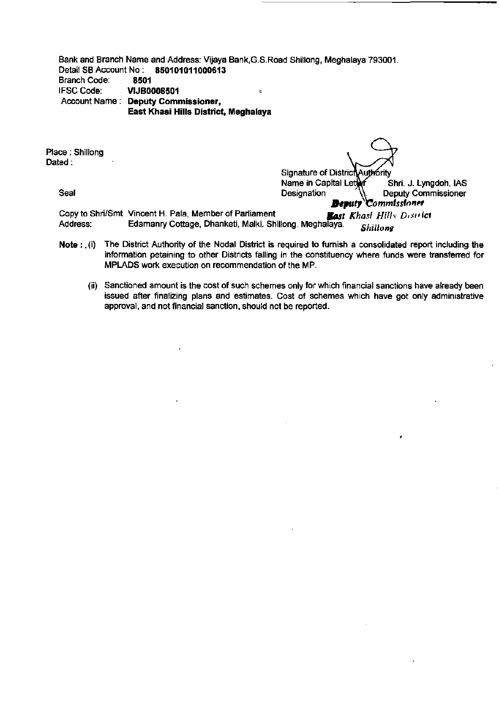Bank and Branch Name and Address: Vijaya Bank, G.S. Road Shillong, Meghalaya 793001.<br>Detail SB Account No: 850101011000613 Detail SB Account No:<br>Branch Code: 8501 Branch Code:<br>IFSC Code: **VIJB0008501 , VISBN 008501** Account Name: Deputy Commissioner, East Khasi Hills District, Meghalaya

Place: Shillong Dated:

Signature of DistrictAuthority Name in Capital Letter Shri. J. Lyngdoh, IAS<br>Designation (Commissioner Seal **Designation** Designation **Designation Deputy Commissioner** *Beputy* Commissioner

Copy to Shri/Smt Vincent H. Pala, Member of Parliament **Basi Khasi Hills District**<br>Address: **Edamanry Cottage. Dhanketi. Malki. Shillong. Meghalaya.** Chill Colling Edamanry Cottage, Dhanketi, Malki. Shillong. Meghalaya. *Shillong* 

- Note: . (i) The District Authority of the Nodal District is required to furnish a consolidated report including the information petaining to other Districts falling in the constituency where funds were transferred for MPLADS work execution on recommendation of the MP.
	- (ii) Sanctioned amount is the cost of such schemes only for which financial sanctions have already been issued after finalizing plans and estimates. Cost of schemes which have got onty administrative approval, and not financial sanction, should not be reported.